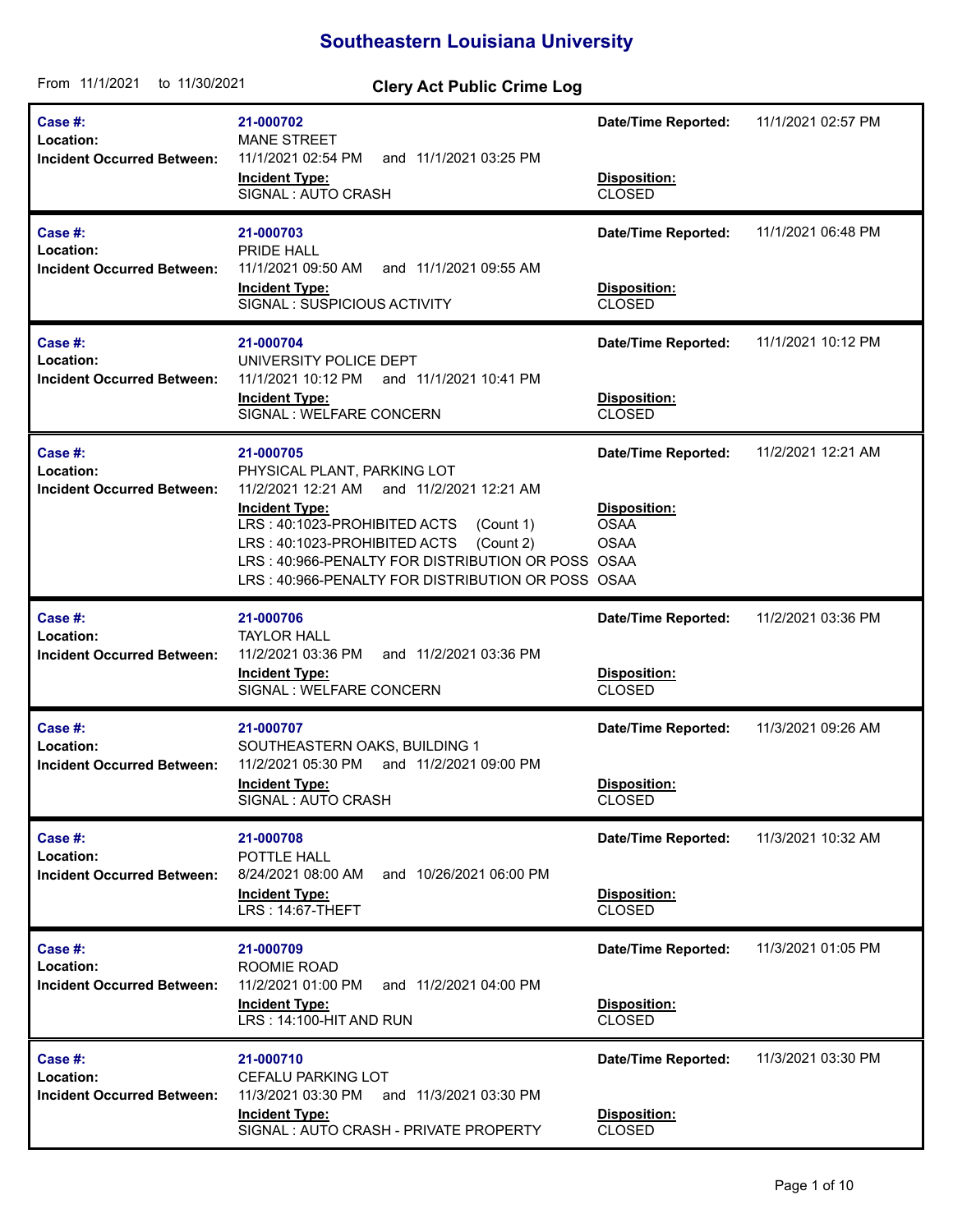## **Southeastern Louisiana University**

| From 11/1/2021<br>to 11/30/2021                           | <b>Clery Act Public Crime Log</b>                                                                                                                                                                                                                                                                                |                                                                                         |                    |
|-----------------------------------------------------------|------------------------------------------------------------------------------------------------------------------------------------------------------------------------------------------------------------------------------------------------------------------------------------------------------------------|-----------------------------------------------------------------------------------------|--------------------|
| Case #:<br>Location:<br><b>Incident Occurred Between:</b> | 21-000702<br><b>MANE STREET</b><br>11/1/2021 02:54 PM<br>and 11/1/2021 03:25 PM<br><b>Incident Type:</b><br>SIGNAL : AUTO CRASH                                                                                                                                                                                  | <b>Date/Time Reported:</b><br>Disposition:<br><b>CLOSED</b>                             | 11/1/2021 02:57 PM |
| Case #:<br>Location:<br><b>Incident Occurred Between:</b> | 21-000703<br>PRIDE HALL<br>11/1/2021 09:50 AM<br>and 11/1/2021 09:55 AM<br><b>Incident Type:</b><br>SIGNAL : SUSPICIOUS ACTIVITY                                                                                                                                                                                 | <b>Date/Time Reported:</b><br>Disposition:<br><b>CLOSED</b>                             | 11/1/2021 06:48 PM |
| Case #:<br>Location:<br><b>Incident Occurred Between:</b> | 21-000704<br>UNIVERSITY POLICE DEPT<br>11/1/2021 10:12 PM and 11/1/2021 10:41 PM<br><b>Incident Type:</b><br>SIGNAL : WELFARE CONCERN                                                                                                                                                                            | <b>Date/Time Reported:</b><br>Disposition:<br><b>CLOSED</b>                             | 11/1/2021 10:12 PM |
| Case #:<br>Location:<br><b>Incident Occurred Between:</b> | 21-000705<br>PHYSICAL PLANT, PARKING LOT<br>11/2/2021 12:21 AM<br>and 11/2/2021 12:21 AM<br><b>Incident Type:</b><br>LRS: 40:1023-PROHIBITED ACTS<br>(Count 1)<br>LRS: 40:1023-PROHIBITED ACTS<br>(Count 2)<br>LRS: 40:966-PENALTY FOR DISTRIBUTION OR POSS<br>LRS: 40:966-PENALTY FOR DISTRIBUTION OR POSS OSAA | <b>Date/Time Reported:</b><br>Disposition:<br><b>OSAA</b><br><b>OSAA</b><br><b>OSAA</b> | 11/2/2021 12:21 AM |
| Case #:<br>Location:<br><b>Incident Occurred Between:</b> | 21-000706<br><b>TAYLOR HALL</b><br>11/2/2021 03:36 PM<br>and 11/2/2021 03:36 PM<br><b>Incident Type:</b><br>SIGNAL : WELFARE CONCERN                                                                                                                                                                             | <b>Date/Time Reported:</b><br>Disposition:<br><b>CLOSED</b>                             | 11/2/2021 03:36 PM |
| Case #:<br>Location:<br><b>Incident Occurred Between:</b> | 21-000707<br>SOUTHEASTERN OAKS, BUILDING 1<br>11/2/2021 05:30 PM<br>and 11/2/2021 09:00 PM<br><b>Incident Type:</b><br>SIGNAL : AUTO CRASH                                                                                                                                                                       | <b>Date/Time Reported:</b><br>Disposition:<br><b>CLOSED</b>                             | 11/3/2021 09:26 AM |
| Case #:<br>Location:<br><b>Incident Occurred Between:</b> | 21-000708<br>POTTLE HALL<br>8/24/2021 08:00 AM<br>and 10/26/2021 06:00 PM<br><b>Incident Type:</b><br>LRS: 14:67-THEFT                                                                                                                                                                                           | <b>Date/Time Reported:</b><br><b>Disposition:</b><br><b>CLOSED</b>                      | 11/3/2021 10:32 AM |
| Case #:<br>Location:<br><b>Incident Occurred Between:</b> | 21-000709<br>ROOMIE ROAD<br>11/2/2021 01:00 PM<br>and 11/2/2021 04:00 PM<br><b>Incident Type:</b><br>LRS: 14:100-HIT AND RUN                                                                                                                                                                                     | <b>Date/Time Reported:</b><br>Disposition:<br><b>CLOSED</b>                             | 11/3/2021 01:05 PM |
| Case #:<br>Location:<br><b>Incident Occurred Between:</b> | 21-000710<br>CEFALU PARKING LOT<br>11/3/2021 03:30 PM<br>and 11/3/2021 03:30 PM<br><b>Incident Type:</b><br>SIGNAL: AUTO CRASH - PRIVATE PROPERTY                                                                                                                                                                | <b>Date/Time Reported:</b><br>Disposition:<br><b>CLOSED</b>                             | 11/3/2021 03:30 PM |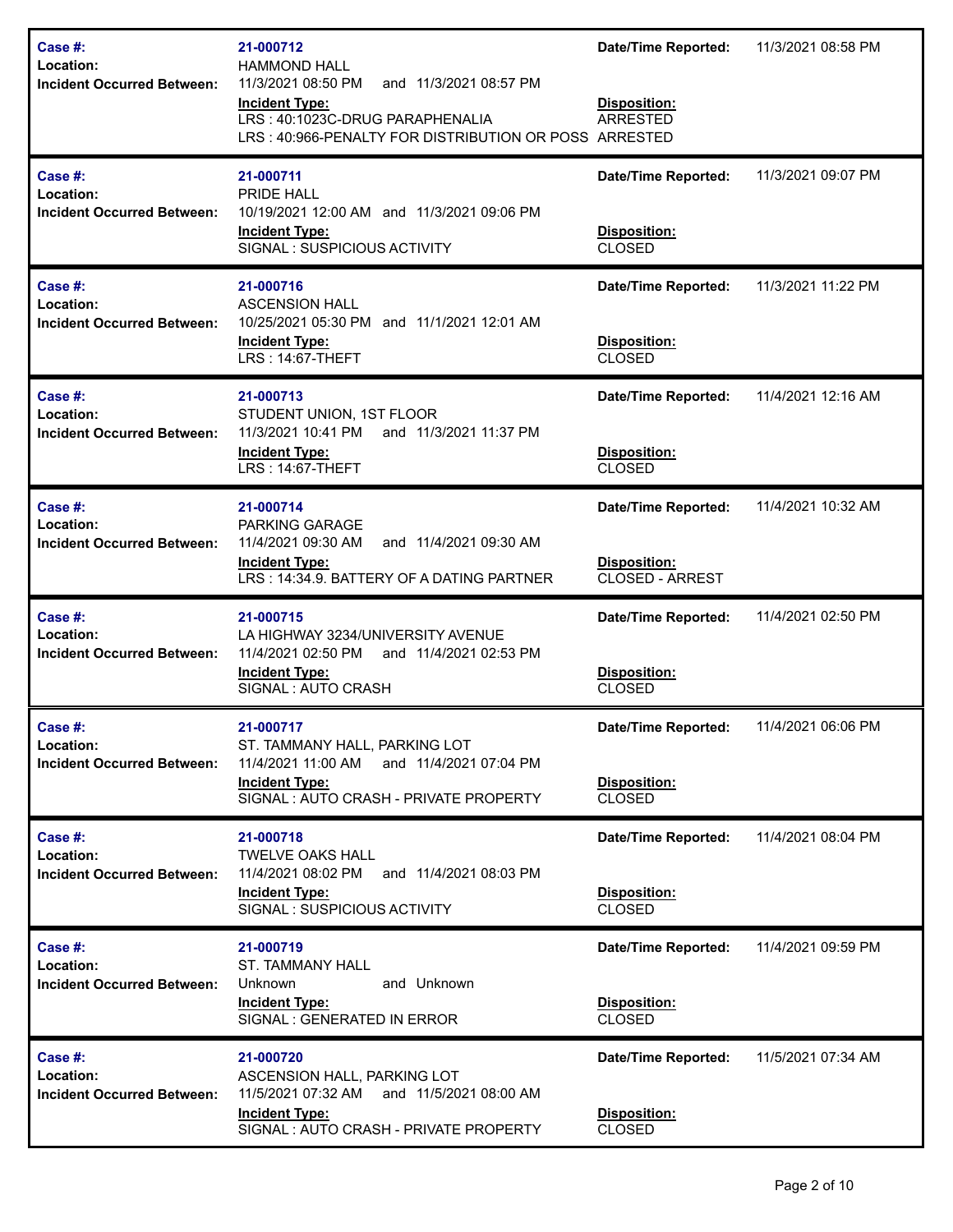| Case #:<br>Location:<br><b>Incident Occurred Between:</b>    | 21-000712<br><b>HAMMOND HALL</b><br>11/3/2021 08:50 PM<br>and 11/3/2021 08:57 PM<br><b>Incident Type:</b><br>LRS: 40:1023C-DRUG PARAPHENALIA<br>LRS: 40:966-PENALTY FOR DISTRIBUTION OR POSS ARRESTED | <b>Date/Time Reported:</b><br>Disposition:<br><b>ARRESTED</b>        | 11/3/2021 08:58 PM |
|--------------------------------------------------------------|-------------------------------------------------------------------------------------------------------------------------------------------------------------------------------------------------------|----------------------------------------------------------------------|--------------------|
| Case #:<br>Location:<br><b>Incident Occurred Between:</b>    | 21-000711<br><b>PRIDE HALL</b><br>10/19/2021 12:00 AM and 11/3/2021 09:06 PM<br><b>Incident Type:</b><br>SIGNAL: SUSPICIOUS ACTIVITY                                                                  | <b>Date/Time Reported:</b><br>Disposition:<br><b>CLOSED</b>          | 11/3/2021 09:07 PM |
| Case $#$ :<br>Location:<br><b>Incident Occurred Between:</b> | 21-000716<br><b>ASCENSION HALL</b><br>10/25/2021 05:30 PM and 11/1/2021 12:01 AM<br><b>Incident Type:</b><br>LRS: 14:67-THEFT                                                                         | <b>Date/Time Reported:</b><br>Disposition:<br><b>CLOSED</b>          | 11/3/2021 11:22 PM |
| Case #:<br>Location:<br><b>Incident Occurred Between:</b>    | 21-000713<br>STUDENT UNION, 1ST FLOOR<br>11/3/2021 10:41 PM<br>and 11/3/2021 11:37 PM<br><b>Incident Type:</b><br><b>LRS: 14:67-THEFT</b>                                                             | <b>Date/Time Reported:</b><br>Disposition:<br><b>CLOSED</b>          | 11/4/2021 12:16 AM |
| Case #:<br>Location:<br><b>Incident Occurred Between:</b>    | 21-000714<br>PARKING GARAGE<br>11/4/2021 09:30 AM<br>and 11/4/2021 09:30 AM<br><b>Incident Type:</b><br>LRS: 14:34.9. BATTERY OF A DATING PARTNER                                                     | <b>Date/Time Reported:</b><br>Disposition:<br><b>CLOSED - ARREST</b> | 11/4/2021 10:32 AM |
| Case #:<br>Location:<br><b>Incident Occurred Between:</b>    | 21-000715<br>LA HIGHWAY 3234/UNIVERSITY AVENUE<br>11/4/2021 02:50 PM<br>and 11/4/2021 02:53 PM<br><b>Incident Type:</b><br>SIGNAL : AUTO CRASH                                                        | <b>Date/Time Reported:</b><br>Disposition:<br><b>CLOSED</b>          | 11/4/2021 02:50 PM |
| Case #:<br>Location:<br><b>Incident Occurred Between:</b>    | 21-000717<br>ST. TAMMANY HALL, PARKING LOT<br>11/4/2021 11:00 AM and 11/4/2021 07:04 PM<br><b>Incident Type:</b><br>SIGNAL: AUTO CRASH - PRIVATE PROPERTY                                             | Date/Time Reported:<br>Disposition:<br><b>CLOSED</b>                 | 11/4/2021 06:06 PM |
| Case #:<br>Location:<br><b>Incident Occurred Between:</b>    | 21-000718<br><b>TWELVE OAKS HALL</b><br>11/4/2021 08:02 PM and 11/4/2021 08:03 PM<br><b>Incident Type:</b><br>SIGNAL : SUSPICIOUS ACTIVITY                                                            | <b>Date/Time Reported:</b><br>Disposition:<br><b>CLOSED</b>          | 11/4/2021 08:04 PM |
| Case #:<br>Location:<br><b>Incident Occurred Between:</b>    | 21-000719<br><b>ST. TAMMANY HALL</b><br>and Unknown<br>Unknown<br><b>Incident Type:</b><br>SIGNAL : GENERATED IN ERROR                                                                                | <b>Date/Time Reported:</b><br>Disposition:<br><b>CLOSED</b>          | 11/4/2021 09:59 PM |
| Case #:<br>Location:<br><b>Incident Occurred Between:</b>    | 21-000720<br>ASCENSION HALL, PARKING LOT<br>11/5/2021 07:32 AM and 11/5/2021 08:00 AM<br><b>Incident Type:</b><br>SIGNAL: AUTO CRASH - PRIVATE PROPERTY                                               | <b>Date/Time Reported:</b><br>Disposition:<br><b>CLOSED</b>          | 11/5/2021 07:34 AM |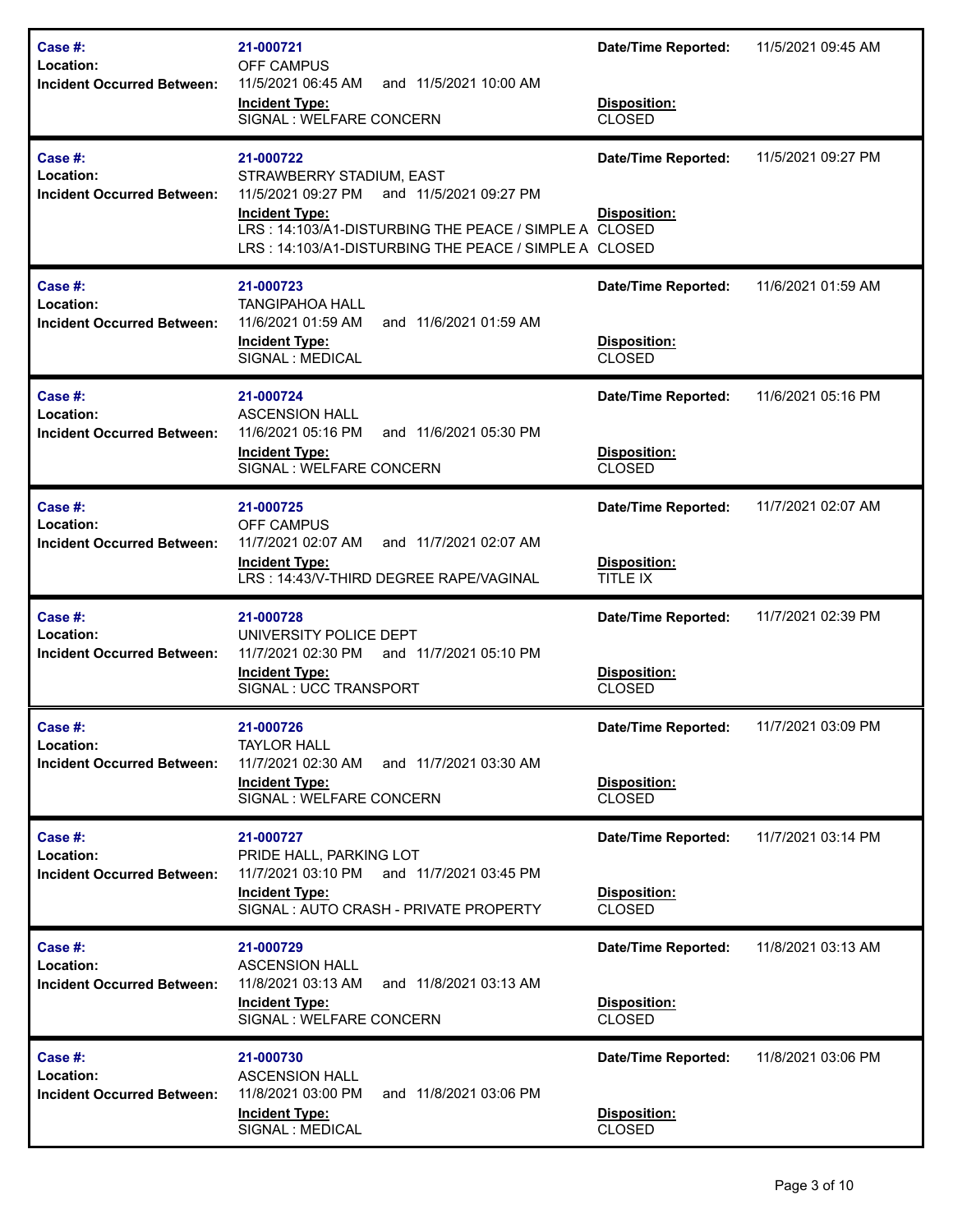| Case $#$ :<br>Location:<br><b>Incident Occurred Between:</b> | 21-000721<br>OFF CAMPUS<br>11/5/2021 06:45 AM<br>and 11/5/2021 10:00 AM<br><b>Incident Type:</b><br>SIGNAL : WELFARE CONCERN                                                                                                     | <b>Date/Time Reported:</b><br>Disposition:<br><b>CLOSED</b>        | 11/5/2021 09:45 AM |
|--------------------------------------------------------------|----------------------------------------------------------------------------------------------------------------------------------------------------------------------------------------------------------------------------------|--------------------------------------------------------------------|--------------------|
| Case $#$ :<br>Location:<br><b>Incident Occurred Between:</b> | 21-000722<br>STRAWBERRY STADIUM, EAST<br>11/5/2021 09:27 PM<br>and 11/5/2021 09:27 PM<br><b>Incident Type:</b><br>LRS: 14:103/A1-DISTURBING THE PEACE / SIMPLE A CLOSED<br>LRS: 14:103/A1-DISTURBING THE PEACE / SIMPLE A CLOSED | <b>Date/Time Reported:</b><br>Disposition:                         | 11/5/2021 09:27 PM |
| Case #:<br>Location:<br><b>Incident Occurred Between:</b>    | 21-000723<br><b>TANGIPAHOA HALL</b><br>11/6/2021 01:59 AM<br>and 11/6/2021 01:59 AM<br><b>Incident Type:</b><br>SIGNAL : MEDICAL                                                                                                 | <b>Date/Time Reported:</b><br>Disposition:<br><b>CLOSED</b>        | 11/6/2021 01:59 AM |
| Case #:<br>Location:<br><b>Incident Occurred Between:</b>    | 21-000724<br><b>ASCENSION HALL</b><br>11/6/2021 05:16 PM<br>and 11/6/2021 05:30 PM<br><b>Incident Type:</b><br>SIGNAL : WELFARE CONCERN                                                                                          | <b>Date/Time Reported:</b><br>Disposition:<br><b>CLOSED</b>        | 11/6/2021 05:16 PM |
| Case #:<br>Location:<br><b>Incident Occurred Between:</b>    | 21-000725<br><b>OFF CAMPUS</b><br>11/7/2021 02:07 AM<br>and 11/7/2021 02:07 AM<br><b>Incident Type:</b><br>LRS: 14:43/V-THIRD DEGREE RAPE/VAGINAL                                                                                | <b>Date/Time Reported:</b><br>Disposition:<br>TITLE IX             | 11/7/2021 02:07 AM |
| Case $#$ :<br>Location:<br><b>Incident Occurred Between:</b> | 21-000728<br>UNIVERSITY POLICE DEPT<br>and 11/7/2021 05:10 PM<br>11/7/2021 02:30 PM<br><b>Incident Type:</b><br>SIGNAL: UCC TRANSPORT                                                                                            | <b>Date/Time Reported:</b><br>Disposition:<br><b>CLOSED</b>        | 11/7/2021 02:39 PM |
| Case #:<br>Location:<br><b>Incident Occurred Between:</b>    | 21-000726<br><b>TAYLOR HALL</b><br>11/7/2021 02:30 AM<br>and 11/7/2021 03:30 AM<br><b>Incident Type:</b><br>SIGNAL: WELFARE CONCERN                                                                                              | <b>Date/Time Reported:</b><br><b>Disposition:</b><br><b>CLOSED</b> | 11/7/2021 03:09 PM |
| Case $#$ :<br>Location:<br><b>Incident Occurred Between:</b> | 21-000727<br>PRIDE HALL, PARKING LOT<br>11/7/2021 03:10 PM and 11/7/2021 03:45 PM<br><b>Incident Type:</b><br>SIGNAL: AUTO CRASH - PRIVATE PROPERTY                                                                              | <b>Date/Time Reported:</b><br>Disposition:<br><b>CLOSED</b>        | 11/7/2021 03:14 PM |
| Case #:<br>Location:<br><b>Incident Occurred Between:</b>    | 21-000729<br><b>ASCENSION HALL</b><br>11/8/2021 03:13 AM<br>and 11/8/2021 03:13 AM<br><b>Incident Type:</b><br>SIGNAL : WELFARE CONCERN                                                                                          | <b>Date/Time Reported:</b><br>Disposition:<br><b>CLOSED</b>        | 11/8/2021 03:13 AM |
| Case #:<br>Location:<br><b>Incident Occurred Between:</b>    | 21-000730<br><b>ASCENSION HALL</b><br>11/8/2021 03:00 PM<br>and 11/8/2021 03:06 PM<br><b>Incident Type:</b><br>SIGNAL : MEDICAL                                                                                                  | <b>Date/Time Reported:</b><br>Disposition:<br><b>CLOSED</b>        | 11/8/2021 03:06 PM |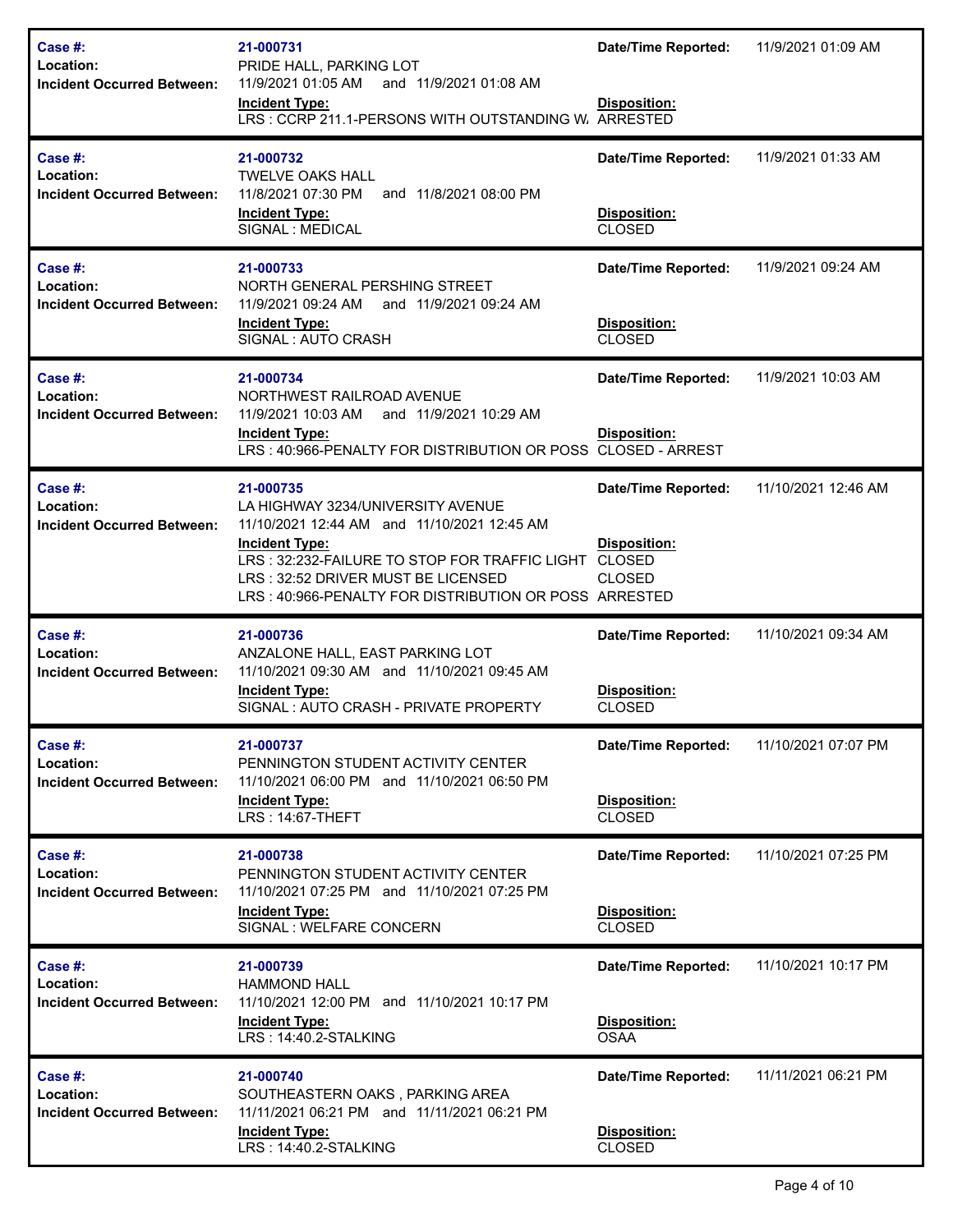| Case #:<br>Location:<br><b>Incident Occurred Between:</b> | 21-000731<br>PRIDE HALL, PARKING LOT<br>11/9/2021 01:05 AM and 11/9/2021 01:08 AM<br><b>Incident Type:</b><br>LRS: CCRP 211.1-PERSONS WITH OUTSTANDING W. ARRESTED                                                                                                     | Date/Time Reported:<br>Disposition:                                                 | 11/9/2021 01:09 AM  |
|-----------------------------------------------------------|------------------------------------------------------------------------------------------------------------------------------------------------------------------------------------------------------------------------------------------------------------------------|-------------------------------------------------------------------------------------|---------------------|
| Case #:<br>Location:<br><b>Incident Occurred Between:</b> | 21-000732<br><b>TWELVE OAKS HALL</b><br>11/8/2021 07:30 PM<br>and 11/8/2021 08:00 PM<br><b>Incident Type:</b><br>SIGNAL : MEDICAL                                                                                                                                      | <b>Date/Time Reported:</b><br>Disposition:<br><b>CLOSED</b>                         | 11/9/2021 01:33 AM  |
| Case #:<br>Location:<br><b>Incident Occurred Between:</b> | 21-000733<br>NORTH GENERAL PERSHING STREET<br>11/9/2021 09:24 AM and 11/9/2021 09:24 AM<br><b>Incident Type:</b><br>SIGNAL: AUTO CRASH                                                                                                                                 | <b>Date/Time Reported:</b><br>Disposition:<br><b>CLOSED</b>                         | 11/9/2021 09:24 AM  |
| Case #:<br>Location:<br><b>Incident Occurred Between:</b> | 21-000734<br>NORTHWEST RAILROAD AVENUE<br>11/9/2021 10:03 AM and 11/9/2021 10:29 AM<br><b>Incident Type:</b><br>LRS: 40:966-PENALTY FOR DISTRIBUTION OR POSS CLOSED - ARREST                                                                                           | <b>Date/Time Reported:</b><br>Disposition:                                          | 11/9/2021 10:03 AM  |
| Case #:<br>Location:<br><b>Incident Occurred Between:</b> | 21-000735<br>LA HIGHWAY 3234/UNIVERSITY AVENUE<br>11/10/2021 12:44 AM and 11/10/2021 12:45 AM<br><b>Incident Type:</b><br>LRS: 32:232-FAILURE TO STOP FOR TRAFFIC LIGHT<br>LRS: 32:52 DRIVER MUST BE LICENSED<br>LRS: 40:966-PENALTY FOR DISTRIBUTION OR POSS ARRESTED | <b>Date/Time Reported:</b><br><b>Disposition:</b><br><b>CLOSED</b><br><b>CLOSED</b> | 11/10/2021 12:46 AM |
| Case #:<br>Location:<br><b>Incident Occurred Between:</b> | 21-000736<br>ANZALONE HALL, EAST PARKING LOT<br>11/10/2021 09:30 AM and 11/10/2021 09:45 AM<br><b>Incident Type:</b><br>SIGNAL: AUTO CRASH - PRIVATE PROPERTY                                                                                                          | <b>Date/Time Reported:</b><br>Disposition:<br><b>CLOSED</b>                         | 11/10/2021 09:34 AM |
| Case #:<br>Location:<br><b>Incident Occurred Between:</b> | 21-000737<br>PENNINGTON STUDENT ACTIVITY CENTER<br>11/10/2021 06:00 PM and 11/10/2021 06:50 PM<br><b>Incident Type:</b><br><b>LRS: 14:67-THEFT</b>                                                                                                                     | <b>Date/Time Reported:</b><br>Disposition:<br><b>CLOSED</b>                         | 11/10/2021 07:07 PM |
| Case #:<br>Location:<br><b>Incident Occurred Between:</b> | 21-000738<br>PENNINGTON STUDENT ACTIVITY CENTER<br>11/10/2021 07:25 PM and 11/10/2021 07:25 PM<br><b>Incident Type:</b><br>SIGNAL : WELFARE CONCERN                                                                                                                    | <b>Date/Time Reported:</b><br>Disposition:<br><b>CLOSED</b>                         | 11/10/2021 07:25 PM |
| Case #:<br>Location:<br><b>Incident Occurred Between:</b> | 21-000739<br><b>HAMMOND HALL</b><br>11/10/2021 12:00 PM and 11/10/2021 10:17 PM<br><b>Incident Type:</b><br>LRS: 14:40.2-STALKING                                                                                                                                      | <b>Date/Time Reported:</b><br>Disposition:<br><b>OSAA</b>                           | 11/10/2021 10:17 PM |
| Case #:<br>Location:<br><b>Incident Occurred Between:</b> | 21-000740<br>SOUTHEASTERN OAKS, PARKING AREA<br>11/11/2021 06:21 PM and 11/11/2021 06:21 PM<br><b>Incident Type:</b><br>LRS: 14:40.2-STALKING                                                                                                                          | <b>Date/Time Reported:</b><br>Disposition:<br>CLOSED                                | 11/11/2021 06:21 PM |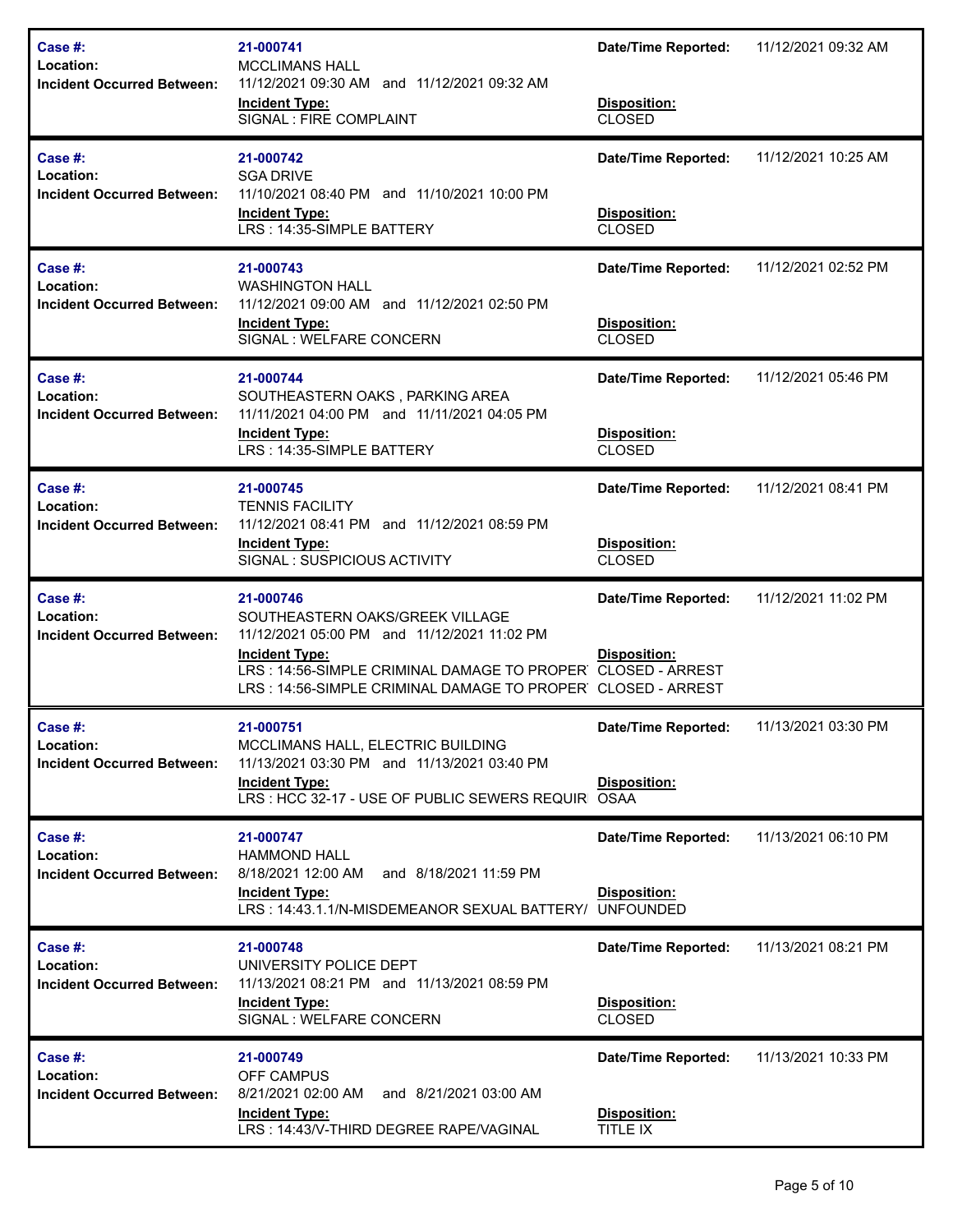| Case $#$ :<br>Location:<br><b>Incident Occurred Between:</b> | 21-000741<br><b>MCCLIMANS HALL</b><br>11/12/2021 09:30 AM and 11/12/2021 09:32 AM<br><b>Incident Type:</b><br>SIGNAL : FIRE COMPLAINT                                                                                                              | <b>Date/Time Reported:</b><br>Disposition:<br><b>CLOSED</b> | 11/12/2021 09:32 AM |
|--------------------------------------------------------------|----------------------------------------------------------------------------------------------------------------------------------------------------------------------------------------------------------------------------------------------------|-------------------------------------------------------------|---------------------|
| Case $#$ :<br>Location:<br><b>Incident Occurred Between:</b> | 21-000742<br><b>SGA DRIVE</b><br>11/10/2021 08:40 PM and 11/10/2021 10:00 PM<br><b>Incident Type:</b><br>LRS: 14:35-SIMPLE BATTERY                                                                                                                 | <b>Date/Time Reported:</b><br>Disposition:<br><b>CLOSED</b> | 11/12/2021 10:25 AM |
| Case #:<br>Location:<br><b>Incident Occurred Between:</b>    | 21-000743<br><b>WASHINGTON HALL</b><br>11/12/2021 09:00 AM and 11/12/2021 02:50 PM<br><b>Incident Type:</b><br>SIGNAL : WELFARE CONCERN                                                                                                            | <b>Date/Time Reported:</b><br>Disposition:<br><b>CLOSED</b> | 11/12/2021 02:52 PM |
| Case #:<br>Location:<br><b>Incident Occurred Between:</b>    | 21-000744<br>SOUTHEASTERN OAKS, PARKING AREA<br>11/11/2021 04:00 PM and 11/11/2021 04:05 PM<br><b>Incident Type:</b><br>LRS: 14:35-SIMPLE BATTERY                                                                                                  | <b>Date/Time Reported:</b><br>Disposition:<br><b>CLOSED</b> | 11/12/2021 05:46 PM |
| Case #:<br>Location:<br><b>Incident Occurred Between:</b>    | 21-000745<br><b>TENNIS FACILITY</b><br>11/12/2021 08:41 PM and 11/12/2021 08:59 PM<br><b>Incident Type:</b><br>SIGNAL: SUSPICIOUS ACTIVITY                                                                                                         | <b>Date/Time Reported:</b><br>Disposition:<br><b>CLOSED</b> | 11/12/2021 08:41 PM |
| Case #:<br>Location:<br><b>Incident Occurred Between:</b>    | 21-000746<br>SOUTHEASTERN OAKS/GREEK VILLAGE<br>11/12/2021 05:00 PM and 11/12/2021 11:02 PM<br><b>Incident Type:</b><br>LRS: 14:56-SIMPLE CRIMINAL DAMAGE TO PROPER CLOSED - ARREST<br>LRS: 14:56-SIMPLE CRIMINAL DAMAGE TO PROPER CLOSED - ARREST | <b>Date/Time Reported:</b><br><b>Disposition:</b>           | 11/12/2021 11:02 PM |
| Case #:<br>Location:<br><b>Incident Occurred Between:</b>    | 21-000751<br>MCCLIMANS HALL, ELECTRIC BUILDING<br>11/13/2021 03:30 PM and 11/13/2021 03:40 PM<br><b>Incident Type:</b><br>LRS: HCC 32-17 - USE OF PUBLIC SEWERS REQUIRIOSAA                                                                        | <b>Date/Time Reported:</b><br>Disposition:                  | 11/13/2021 03:30 PM |
| Case $#$ :<br>Location:<br><b>Incident Occurred Between:</b> | 21-000747<br><b>HAMMOND HALL</b><br>8/18/2021 12:00 AM<br>and 8/18/2021 11:59 PM<br><b>Incident Type:</b><br>LRS: 14:43.1.1/N-MISDEMEANOR SEXUAL BATTERY/ UNFOUNDED                                                                                | <b>Date/Time Reported:</b><br>Disposition:                  | 11/13/2021 06:10 PM |
| Case #:<br>Location:<br><b>Incident Occurred Between:</b>    | 21-000748<br>UNIVERSITY POLICE DEPT<br>11/13/2021 08:21 PM and 11/13/2021 08:59 PM<br><b>Incident Type:</b><br>SIGNAL : WELFARE CONCERN                                                                                                            | <b>Date/Time Reported:</b><br>Disposition:<br><b>CLOSED</b> | 11/13/2021 08:21 PM |
| Case #:<br>Location:<br><b>Incident Occurred Between:</b>    | 21-000749<br><b>OFF CAMPUS</b><br>8/21/2021 02:00 AM<br>and 8/21/2021 03:00 AM<br><b>Incident Type:</b><br>LRS: 14:43/V-THIRD DEGREE RAPE/VAGINAL                                                                                                  | <b>Date/Time Reported:</b><br>Disposition:<br>TITLE IX      | 11/13/2021 10:33 PM |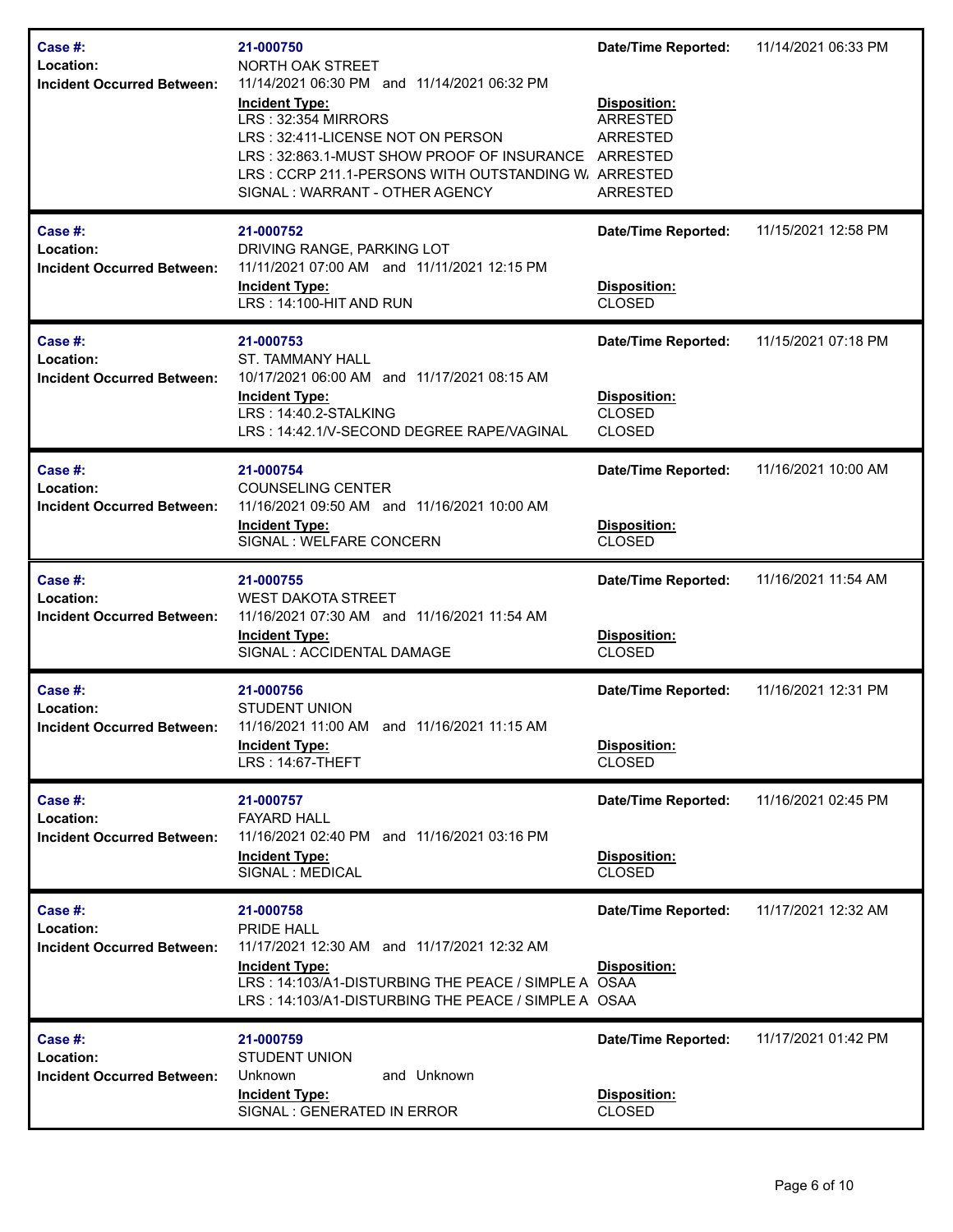| Case #:<br>Location:<br><b>Incident Occurred Between:</b>    | 21-000750<br>NORTH OAK STREET<br>11/14/2021 06:30 PM and 11/14/2021 06:32 PM<br><b>Incident Type:</b><br>LRS: 32:354 MIRRORS<br>LRS: 32:411-LICENSE NOT ON PERSON<br>LRS: 32:863.1-MUST SHOW PROOF OF INSURANCE ARRESTED<br>LRS: CCRP 211.1-PERSONS WITH OUTSTANDING W. ARRESTED<br>SIGNAL: WARRANT - OTHER AGENCY | <b>Date/Time Reported:</b><br>Disposition:<br><b>ARRESTED</b><br><b>ARRESTED</b><br><b>ARRESTED</b> | 11/14/2021 06:33 PM |
|--------------------------------------------------------------|--------------------------------------------------------------------------------------------------------------------------------------------------------------------------------------------------------------------------------------------------------------------------------------------------------------------|-----------------------------------------------------------------------------------------------------|---------------------|
| Case #:<br>Location:<br><b>Incident Occurred Between:</b>    | 21-000752<br>DRIVING RANGE, PARKING LOT<br>11/11/2021 07:00 AM and 11/11/2021 12:15 PM<br><b>Incident Type:</b><br>LRS: 14:100-HIT AND RUN                                                                                                                                                                         | <b>Date/Time Reported:</b><br>Disposition:<br><b>CLOSED</b>                                         | 11/15/2021 12:58 PM |
| Case #:<br>Location:<br><b>Incident Occurred Between:</b>    | 21-000753<br><b>ST. TAMMANY HALL</b><br>10/17/2021 06:00 AM and 11/17/2021 08:15 AM<br><b>Incident Type:</b><br>LRS: 14:40.2-STALKING<br>LRS: 14:42.1/V-SECOND DEGREE RAPE/VAGINAL                                                                                                                                 | <b>Date/Time Reported:</b><br>Disposition:<br><b>CLOSED</b><br><b>CLOSED</b>                        | 11/15/2021 07:18 PM |
| Case #:<br>Location:<br><b>Incident Occurred Between:</b>    | 21-000754<br><b>COUNSELING CENTER</b><br>11/16/2021 09:50 AM and 11/16/2021 10:00 AM<br><b>Incident Type:</b><br>SIGNAL : WELFARE CONCERN                                                                                                                                                                          | <b>Date/Time Reported:</b><br>Disposition:<br><b>CLOSED</b>                                         | 11/16/2021 10:00 AM |
| Case $#$ :<br>Location:<br><b>Incident Occurred Between:</b> | 21-000755<br><b>WEST DAKOTA STREET</b><br>11/16/2021 07:30 AM and 11/16/2021 11:54 AM<br><b>Incident Type:</b><br>SIGNAL : ACCIDENTAL DAMAGE                                                                                                                                                                       | <b>Date/Time Reported:</b><br>Disposition:<br><b>CLOSED</b>                                         | 11/16/2021 11:54 AM |
| Case #:<br>Location:<br>Incident Occurred Between:           | 21-000756<br><b>STUDENT UNION</b><br>11/16/2021 11:00 AM and 11/16/2021 11:15 AM<br><b>Incident Type:</b><br><b>LRS: 14:67-THEFT</b>                                                                                                                                                                               | <b>Date/Time Reported:</b><br>Disposition:<br><b>CLOSED</b>                                         | 11/16/2021 12:31 PM |
| Case $#$ :<br>Location:<br><b>Incident Occurred Between:</b> | 21-000757<br><b>FAYARD HALL</b><br>11/16/2021 02:40 PM and 11/16/2021 03:16 PM<br><b>Incident Type:</b><br>SIGNAL : MEDICAL                                                                                                                                                                                        | <b>Date/Time Reported:</b><br>Disposition:<br><b>CLOSED</b>                                         | 11/16/2021 02:45 PM |
| Case #:<br>Location:<br><b>Incident Occurred Between:</b>    | 21-000758<br>PRIDE HALL<br>11/17/2021 12:30 AM and 11/17/2021 12:32 AM<br><b>Incident Type:</b><br>LRS: 14:103/A1-DISTURBING THE PEACE / SIMPLE A OSAA<br>LRS: 14:103/A1-DISTURBING THE PEACE / SIMPLE A OSAA                                                                                                      | <b>Date/Time Reported:</b><br>Disposition:                                                          | 11/17/2021 12:32 AM |
| Case #:<br>Location:<br><b>Incident Occurred Between:</b>    | 21-000759<br><b>STUDENT UNION</b><br>and Unknown<br>Unknown<br><b>Incident Type:</b><br>SIGNAL : GENERATED IN ERROR                                                                                                                                                                                                | <b>Date/Time Reported:</b><br>Disposition:<br><b>CLOSED</b>                                         | 11/17/2021 01:42 PM |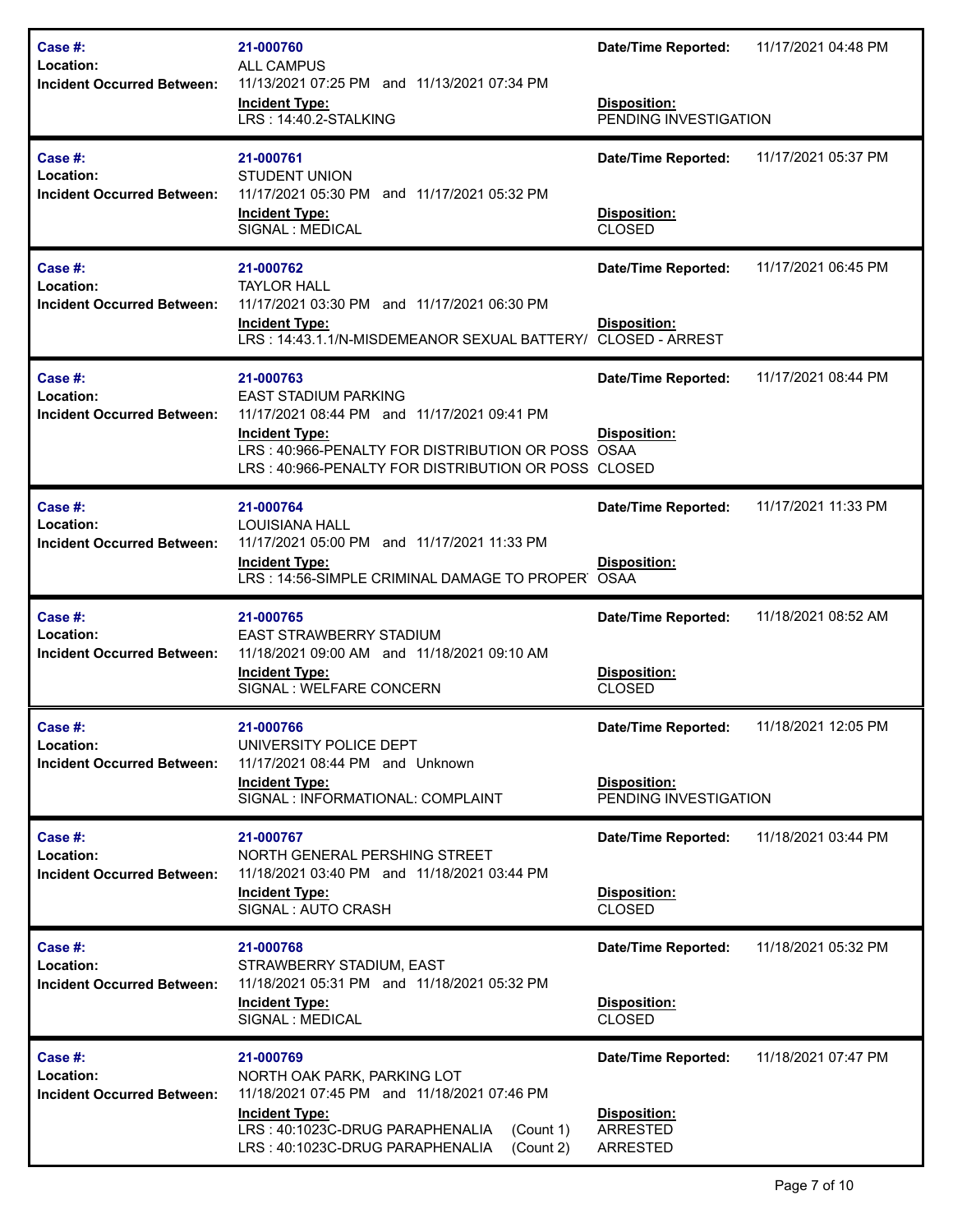| Case #:<br>Location:<br><b>Incident Occurred Between:</b>        | 21-000760<br><b>ALL CAMPUS</b><br>11/13/2021 07:25 PM and 11/13/2021 07:34 PM<br><b>Incident Type:</b><br>LRS: 14:40.2-STALKING                                                                                              | <b>Date/Time Reported:</b><br>Disposition:<br>PENDING INVESTIGATION        | 11/17/2021 04:48 PM |
|------------------------------------------------------------------|------------------------------------------------------------------------------------------------------------------------------------------------------------------------------------------------------------------------------|----------------------------------------------------------------------------|---------------------|
| Case #:<br><b>Location:</b><br><b>Incident Occurred Between:</b> | 21-000761<br><b>STUDENT UNION</b><br>11/17/2021 05:30 PM and 11/17/2021 05:32 PM<br><b>Incident Type:</b><br>SIGNAL : MEDICAL                                                                                                | <b>Date/Time Reported:</b><br>Disposition:<br><b>CLOSED</b>                | 11/17/2021 05:37 PM |
| Case #:<br>Location:<br><b>Incident Occurred Between:</b>        | 21-000762<br><b>TAYLOR HALL</b><br>11/17/2021 03:30 PM and 11/17/2021 06:30 PM<br><b>Incident Type:</b><br>LRS: 14:43.1.1/N-MISDEMEANOR SEXUAL BATTERY/                                                                      | <b>Date/Time Reported:</b><br>Disposition:<br><b>CLOSED - ARREST</b>       | 11/17/2021 06:45 PM |
| Case #:<br>Location:<br><b>Incident Occurred Between:</b>        | 21-000763<br><b>EAST STADIUM PARKING</b><br>11/17/2021 08:44 PM and 11/17/2021 09:41 PM<br><b>Incident Type:</b><br>LRS: 40:966-PENALTY FOR DISTRIBUTION OR POSS OSAA<br>LRS: 40:966-PENALTY FOR DISTRIBUTION OR POSS CLOSED | <b>Date/Time Reported:</b><br><b>Disposition:</b>                          | 11/17/2021 08:44 PM |
| Case #:<br>Location:<br><b>Incident Occurred Between:</b>        | 21-000764<br><b>LOUISIANA HALL</b><br>11/17/2021 05:00 PM and 11/17/2021 11:33 PM<br><b>Incident Type:</b><br>LRS: 14:56-SIMPLE CRIMINAL DAMAGE TO PROPER                                                                    | <b>Date/Time Reported:</b><br>Disposition:<br><b>OSAA</b>                  | 11/17/2021 11:33 PM |
| Case #:<br>Location:<br><b>Incident Occurred Between:</b>        | 21-000765<br><b>EAST STRAWBERRY STADIUM</b><br>11/18/2021 09:00 AM and 11/18/2021 09:10 AM<br><b>Incident Type:</b><br>SIGNAL : WELFARE CONCERN                                                                              | <b>Date/Time Reported:</b><br>Disposition:<br><b>CLOSED</b>                | 11/18/2021 08:52 AM |
| Case #:<br>Location:<br><b>Incident Occurred Between:</b>        | 21-000766<br>UNIVERSITY POLICE DEPT<br>11/17/2021 08:44 PM and Unknown<br><b>Incident Type:</b><br>SIGNAL : INFORMATIONAL: COMPLAINT                                                                                         | <b>Date/Time Reported:</b><br><b>Disposition:</b><br>PENDING INVESTIGATION | 11/18/2021 12:05 PM |
| Case #:<br>Location:<br><b>Incident Occurred Between:</b>        | 21-000767<br>NORTH GENERAL PERSHING STREET<br>11/18/2021 03:40 PM and 11/18/2021 03:44 PM<br><b>Incident Type:</b><br>SIGNAL : AUTO CRASH                                                                                    | <b>Date/Time Reported:</b><br>Disposition:<br><b>CLOSED</b>                | 11/18/2021 03:44 PM |
| Case #:<br>Location:<br><b>Incident Occurred Between:</b>        | 21-000768<br>STRAWBERRY STADIUM, EAST<br>11/18/2021 05:31 PM and 11/18/2021 05:32 PM<br><b>Incident Type:</b><br>SIGNAL : MEDICAL                                                                                            | <b>Date/Time Reported:</b><br><b>Disposition:</b><br><b>CLOSED</b>         | 11/18/2021 05:32 PM |
| Case #:<br>Location:<br><b>Incident Occurred Between:</b>        | 21-000769<br>NORTH OAK PARK, PARKING LOT<br>11/18/2021 07:45 PM and 11/18/2021 07:46 PM<br><b>Incident Type:</b><br>LRS: 40:1023C-DRUG PARAPHENALIA<br>(Count 1)<br>LRS: 40:1023C-DRUG PARAPHENALIA<br>(Count 2)             | <b>Date/Time Reported:</b><br>Disposition:<br>ARRESTED<br><b>ARRESTED</b>  | 11/18/2021 07:47 PM |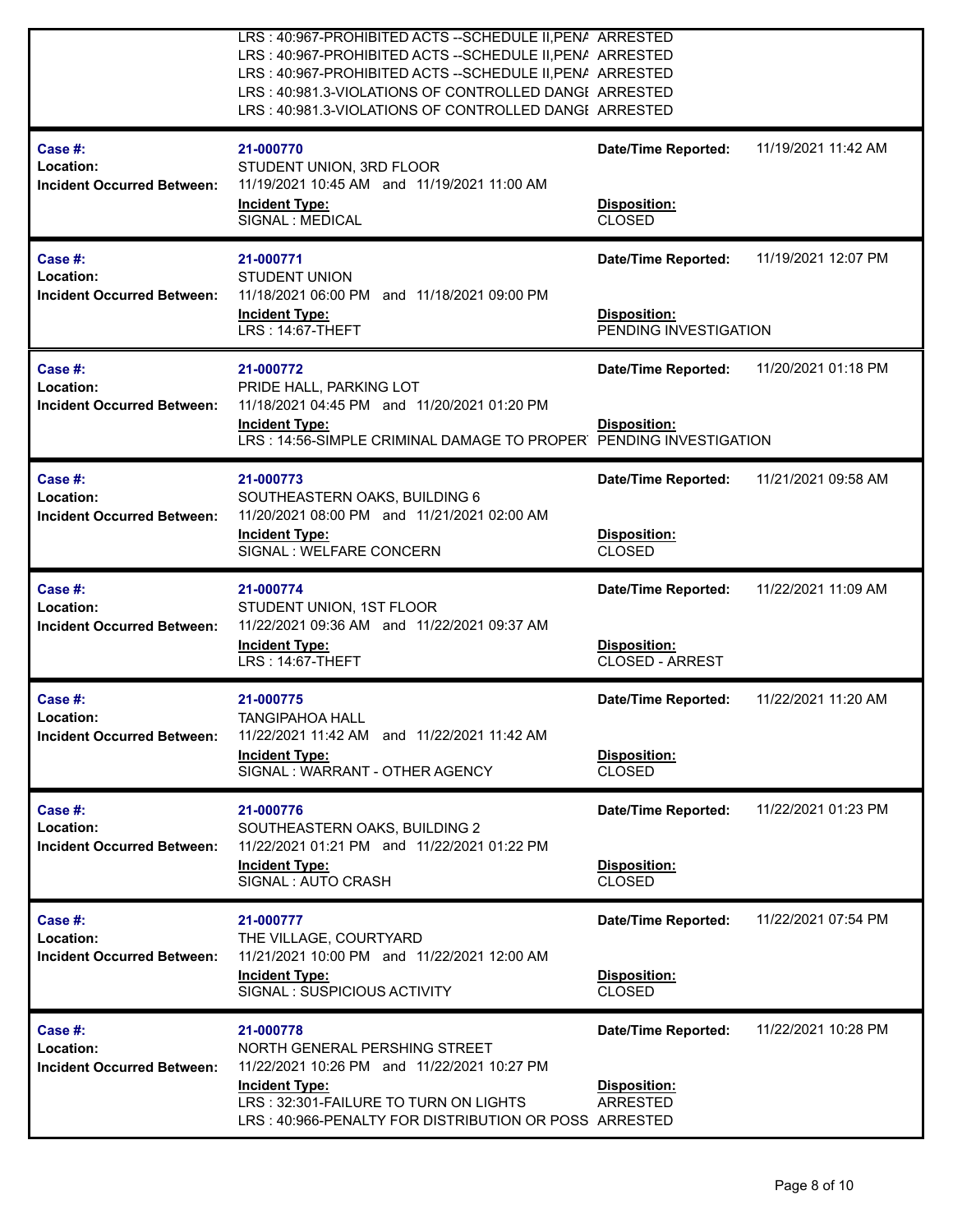|                                                           | LRS: 40:967-PROHIBITED ACTS -- SCHEDULE II, PENA ARRESTED<br>LRS: 40:967-PROHIBITED ACTS -- SCHEDULE II, PENA ARRESTED<br>LRS: 40:967-PROHIBITED ACTS -- SCHEDULE II, PENA ARRESTED<br>LRS: 40:981.3-VIOLATIONS OF CONTROLLED DANGE ARRESTED<br>LRS: 40:981.3-VIOLATIONS OF CONTROLLED DANGE ARRESTED |                                                                      |                     |
|-----------------------------------------------------------|-------------------------------------------------------------------------------------------------------------------------------------------------------------------------------------------------------------------------------------------------------------------------------------------------------|----------------------------------------------------------------------|---------------------|
| Case #:<br>Location:<br><b>Incident Occurred Between:</b> | 21-000770<br>STUDENT UNION, 3RD FLOOR<br>11/19/2021 10:45 AM and 11/19/2021 11:00 AM<br><b>Incident Type:</b><br>SIGNAL : MEDICAL                                                                                                                                                                     | <b>Date/Time Reported:</b><br>Disposition:<br><b>CLOSED</b>          | 11/19/2021 11:42 AM |
| Case #:<br>Location:<br><b>Incident Occurred Between:</b> | 21-000771<br><b>STUDENT UNION</b><br>11/18/2021 06:00 PM and 11/18/2021 09:00 PM<br><b>Incident Type:</b><br><b>LRS: 14:67-THEFT</b>                                                                                                                                                                  | <b>Date/Time Reported:</b><br>Disposition:<br>PENDING INVESTIGATION  | 11/19/2021 12:07 PM |
| Case #:<br>Location:<br><b>Incident Occurred Between:</b> | 21-000772<br>PRIDE HALL, PARKING LOT<br>11/18/2021 04:45 PM and 11/20/2021 01:20 PM<br><b>Incident Type:</b><br>LRS: 14:56-SIMPLE CRIMINAL DAMAGE TO PROPER PENDING INVESTIGATION                                                                                                                     | <b>Date/Time Reported:</b><br>Disposition:                           | 11/20/2021 01:18 PM |
| Case #:<br>Location:<br><b>Incident Occurred Between:</b> | 21-000773<br>SOUTHEASTERN OAKS, BUILDING 6<br>11/20/2021 08:00 PM and 11/21/2021 02:00 AM<br><b>Incident Type:</b><br>SIGNAL : WELFARE CONCERN                                                                                                                                                        | <b>Date/Time Reported:</b><br>Disposition:<br><b>CLOSED</b>          | 11/21/2021 09:58 AM |
| Case #:<br>Location:<br><b>Incident Occurred Between:</b> | 21-000774<br>STUDENT UNION, 1ST FLOOR<br>11/22/2021 09:36 AM and 11/22/2021 09:37 AM<br><b>Incident Type:</b><br>LRS: 14:67-THEFT                                                                                                                                                                     | <b>Date/Time Reported:</b><br>Disposition:<br><b>CLOSED - ARREST</b> | 11/22/2021 11:09 AM |
| Case #:<br>Location:<br><b>Incident Occurred Between:</b> | 21-000775<br><b>TANGIPAHOA HALL</b><br>11/22/2021 11:42 AM and 11/22/2021 11:42 AM<br><b>Incident Type:</b><br>SIGNAL: WARRANT - OTHER AGENCY                                                                                                                                                         | <b>Date/Time Reported:</b><br>Disposition:<br><b>CLOSED</b>          | 11/22/2021 11:20 AM |
| Case #:<br>Location:<br><b>Incident Occurred Between:</b> | 21-000776<br>SOUTHEASTERN OAKS, BUILDING 2<br>11/22/2021 01:21 PM and 11/22/2021 01:22 PM<br><b>Incident Type:</b><br>SIGNAL: AUTO CRASH                                                                                                                                                              | <b>Date/Time Reported:</b><br><b>Disposition:</b><br><b>CLOSED</b>   | 11/22/2021 01:23 PM |
| Case #:<br>Location:<br><b>Incident Occurred Between:</b> | 21-000777<br>THE VILLAGE, COURTYARD<br>11/21/2021 10:00 PM and 11/22/2021 12:00 AM<br><b>Incident Type:</b><br>SIGNAL: SUSPICIOUS ACTIVITY                                                                                                                                                            | <b>Date/Time Reported:</b><br>Disposition:<br><b>CLOSED</b>          | 11/22/2021 07:54 PM |
| Case #:<br>Location:<br><b>Incident Occurred Between:</b> | 21-000778<br>NORTH GENERAL PERSHING STREET<br>11/22/2021 10:26 PM and 11/22/2021 10:27 PM<br><b>Incident Type:</b><br>LRS: 32:301-FAILURE TO TURN ON LIGHTS<br>LRS: 40:966-PENALTY FOR DISTRIBUTION OR POSS ARRESTED                                                                                  | <b>Date/Time Reported:</b><br>Disposition:<br>ARRESTED               | 11/22/2021 10:28 PM |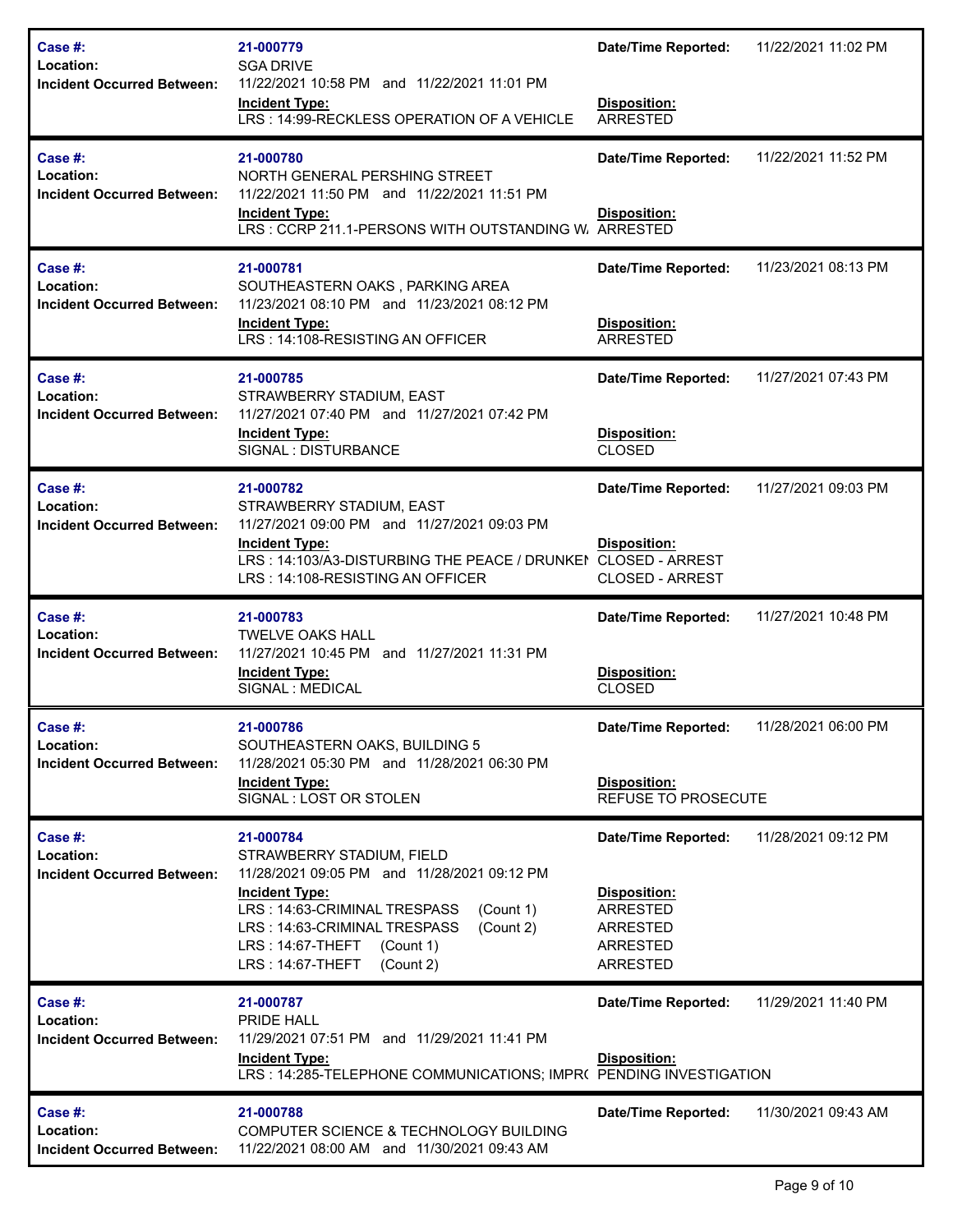| Case #:<br>Location:<br><b>Incident Occurred Between:</b> | 21-000779<br><b>SGA DRIVE</b><br>11/22/2021 10:58 PM and 11/22/2021 11:01 PM<br><b>Incident Type:</b><br>LRS: 14:99-RECKLESS OPERATION OF A VEHICLE                                                                                                                                  | <b>Date/Time Reported:</b><br>Disposition:<br><b>ARRESTED</b>                                                          | 11/22/2021 11:02 PM |
|-----------------------------------------------------------|--------------------------------------------------------------------------------------------------------------------------------------------------------------------------------------------------------------------------------------------------------------------------------------|------------------------------------------------------------------------------------------------------------------------|---------------------|
| Case #:<br>Location:<br><b>Incident Occurred Between:</b> | 21-000780<br>NORTH GENERAL PERSHING STREET<br>11/22/2021 11:50 PM and 11/22/2021 11:51 PM<br><b>Incident Type:</b><br>LRS: CCRP 211.1-PERSONS WITH OUTSTANDING W. ARRESTED                                                                                                           | <b>Date/Time Reported:</b><br><b>Disposition:</b>                                                                      | 11/22/2021 11:52 PM |
| Case #:<br>Location:<br><b>Incident Occurred Between:</b> | 21-000781<br>SOUTHEASTERN OAKS, PARKING AREA<br>11/23/2021 08:10 PM and 11/23/2021 08:12 PM<br><b>Incident Type:</b><br>LRS: 14:108-RESISTING AN OFFICER                                                                                                                             | <b>Date/Time Reported:</b><br>Disposition:<br><b>ARRESTED</b>                                                          | 11/23/2021 08:13 PM |
| Case #:<br>Location:<br><b>Incident Occurred Between:</b> | 21-000785<br>STRAWBERRY STADIUM, EAST<br>11/27/2021 07:40 PM and 11/27/2021 07:42 PM<br><b>Incident Type:</b><br>SIGNAL : DISTURBANCE                                                                                                                                                | <b>Date/Time Reported:</b><br>Disposition:<br><b>CLOSED</b>                                                            | 11/27/2021 07:43 PM |
| Case #:<br>Location:<br><b>Incident Occurred Between:</b> | 21-000782<br>STRAWBERRY STADIUM, EAST<br>11/27/2021 09:00 PM and 11/27/2021 09:03 PM<br><b>Incident Type:</b><br>LRS: 14:103/A3-DISTURBING THE PEACE / DRUNKEI CLOSED - ARREST<br>LRS: 14:108-RESISTING AN OFFICER                                                                   | <b>Date/Time Reported:</b><br><b>Disposition:</b><br><b>CLOSED - ARREST</b>                                            | 11/27/2021 09:03 PM |
|                                                           |                                                                                                                                                                                                                                                                                      |                                                                                                                        |                     |
| Case #:<br>Location:<br><b>Incident Occurred Between:</b> | 21-000783<br><b>TWELVE OAKS HALL</b><br>11/27/2021 10:45 PM and 11/27/2021 11:31 PM<br><b>Incident Type:</b><br>SIGNAL : MEDICAL                                                                                                                                                     | <b>Date/Time Reported:</b><br>Disposition:<br><b>CLOSED</b>                                                            | 11/27/2021 10:48 PM |
| Case #:<br>Location:<br><b>Incident Occurred Between:</b> | 21-000786<br>SOUTHEASTERN OAKS, BUILDING 5<br>11/28/2021 05:30 PM and 11/28/2021 06:30 PM<br><b>Incident Type:</b><br>SIGNAL : LOST OR STOLEN                                                                                                                                        | <b>Date/Time Reported:</b><br>Disposition:<br><b>REFUSE TO PROSECUTE</b>                                               | 11/28/2021 06:00 PM |
| Case #:<br>Location:<br><b>Incident Occurred Between:</b> | 21-000784<br>STRAWBERRY STADIUM, FIELD<br>11/28/2021 09:05 PM and 11/28/2021 09:12 PM<br><b>Incident Type:</b><br>LRS: 14:63-CRIMINAL TRESPASS<br>(Count 1)<br>(Count 2)<br>LRS: 14:63-CRIMINAL TRESPASS<br>$LRS: 14:67$ -THEFT<br>(Count 1)<br><b>LRS: 14:67-THEFT</b><br>(Count 2) | <b>Date/Time Reported:</b><br>Disposition:<br><b>ARRESTED</b><br><b>ARRESTED</b><br><b>ARRESTED</b><br><b>ARRESTED</b> | 11/28/2021 09:12 PM |
| Case #:<br>Location:<br><b>Incident Occurred Between:</b> | 21-000787<br>PRIDE HALL<br>11/29/2021 07:51 PM and 11/29/2021 11:41 PM<br><b>Incident Type:</b><br>LRS: 14:285-TELEPHONE COMMUNICATIONS; IMPR( PENDING INVESTIGATION                                                                                                                 | <b>Date/Time Reported:</b><br>Disposition:                                                                             | 11/29/2021 11:40 PM |